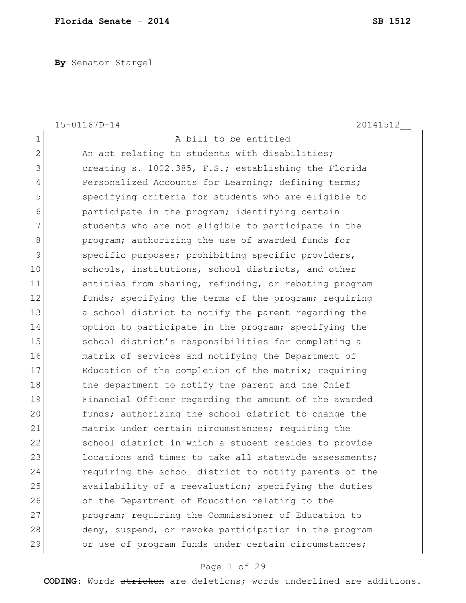**By** Senator Stargel

|                | 15-01167D-14<br>20141512                               |
|----------------|--------------------------------------------------------|
| $\mathbf 1$    | A bill to be entitled                                  |
| $\overline{2}$ | An act relating to students with disabilities;         |
| 3              | creating s. 1002.385, F.S.; establishing the Florida   |
| 4              | Personalized Accounts for Learning; defining terms;    |
| 5              | specifying criteria for students who are eligible to   |
| 6              | participate in the program; identifying certain        |
| 7              | students who are not eligible to participate in the    |
| $\,8\,$        | program; authorizing the use of awarded funds for      |
| 9              | specific purposes; prohibiting specific providers,     |
| 10             | schools, institutions, school districts, and other     |
| 11             | entities from sharing, refunding, or rebating program  |
| 12             | funds; specifying the terms of the program; requiring  |
| 13             | a school district to notify the parent regarding the   |
| 14             | option to participate in the program; specifying the   |
| 15             | school district's responsibilities for completing a    |
| 16             | matrix of services and notifying the Department of     |
| 17             | Education of the completion of the matrix; requiring   |
| 18             | the department to notify the parent and the Chief      |
| 19             | Financial Officer regarding the amount of the awarded  |
| 20             | funds; authorizing the school district to change the   |
| 21             | matrix under certain circumstances; requiring the      |
| 22             | school district in which a student resides to provide  |
| 23             | locations and times to take all statewide assessments; |
| 24             | requiring the school district to notify parents of the |
| 25             | availability of a reevaluation; specifying the duties  |
| 26             | of the Department of Education relating to the         |
| 27             | program; requiring the Commissioner of Education to    |
| 28             | deny, suspend, or revoke participation in the program  |
| 29             | or use of program funds under certain circumstances;   |

# Page 1 of 29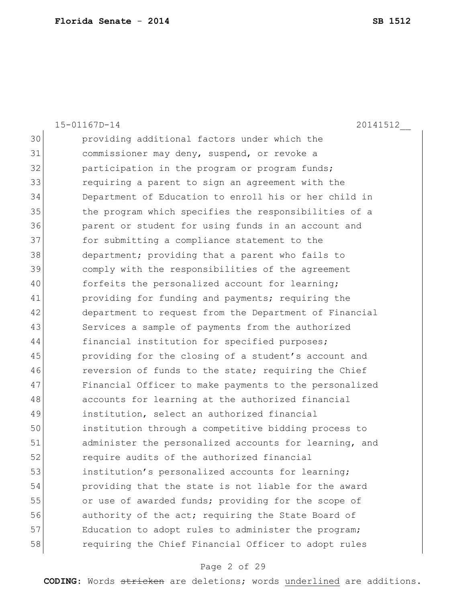|    | 15-01167D-14<br>20141512                               |
|----|--------------------------------------------------------|
| 30 | providing additional factors under which the           |
| 31 | commissioner may deny, suspend, or revoke a            |
| 32 | participation in the program or program funds;         |
| 33 | requiring a parent to sign an agreement with the       |
| 34 | Department of Education to enroll his or her child in  |
| 35 | the program which specifies the responsibilities of a  |
| 36 | parent or student for using funds in an account and    |
| 37 | for submitting a compliance statement to the           |
| 38 | department; providing that a parent who fails to       |
| 39 | comply with the responsibilities of the agreement      |
| 40 | forfeits the personalized account for learning;        |
| 41 | providing for funding and payments; requiring the      |
| 42 | department to request from the Department of Financial |
| 43 | Services a sample of payments from the authorized      |
| 44 | financial institution for specified purposes;          |
| 45 | providing for the closing of a student's account and   |
| 46 | reversion of funds to the state; requiring the Chief   |
| 47 | Financial Officer to make payments to the personalized |
| 48 | accounts for learning at the authorized financial      |
| 49 | institution, select an authorized financial            |
| 50 | institution through a competitive bidding process to   |
| 51 | administer the personalized accounts for learning, and |
| 52 | require audits of the authorized financial             |
| 53 | institution's personalized accounts for learning;      |
| 54 | providing that the state is not liable for the award   |
| 55 | or use of awarded funds; providing for the scope of    |
| 56 | authority of the act; requiring the State Board of     |
| 57 | Education to adopt rules to administer the program;    |
| 58 | requiring the Chief Financial Officer to adopt rules   |

# Page 2 of 29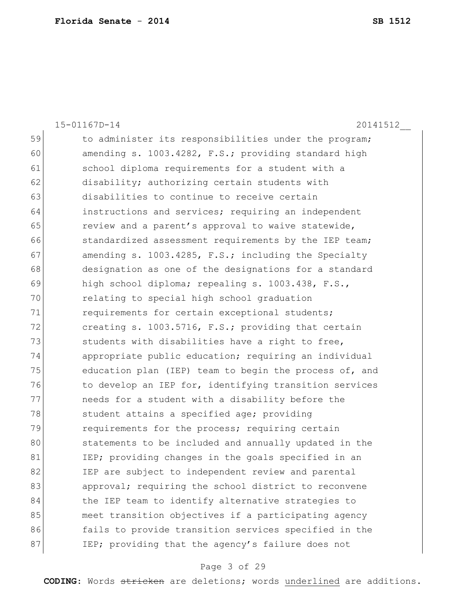|    | 20141512<br>15-01167D-14                               |
|----|--------------------------------------------------------|
| 59 | to administer its responsibilities under the program;  |
| 60 | amending s. 1003.4282, F.S.; providing standard high   |
| 61 | school diploma requirements for a student with a       |
| 62 | disability; authorizing certain students with          |
| 63 | disabilities to continue to receive certain            |
| 64 | instructions and services; requiring an independent    |
| 65 | review and a parent's approval to waive statewide,     |
| 66 | standardized assessment requirements by the IEP team;  |
| 67 | amending s. 1003.4285, F.S.; including the Specialty   |
| 68 | designation as one of the designations for a standard  |
| 69 | high school diploma; repealing s. 1003.438, F.S.,      |
| 70 | relating to special high school graduation             |
| 71 | requirements for certain exceptional students;         |
| 72 | creating s. 1003.5716, F.S.; providing that certain    |
| 73 | students with disabilities have a right to free,       |
| 74 | appropriate public education; requiring an individual  |
| 75 | education plan (IEP) team to begin the process of, and |
| 76 | to develop an IEP for, identifying transition services |
| 77 | needs for a student with a disability before the       |
| 78 | student attains a specified age; providing             |
| 79 | requirements for the process; requiring certain        |
| 80 | statements to be included and annually updated in the  |
| 81 | IEP; providing changes in the goals specified in an    |
| 82 | IEP are subject to independent review and parental     |
| 83 | approval; requiring the school district to reconvene   |
| 84 | the IEP team to identify alternative strategies to     |
| 85 | meet transition objectives if a participating agency   |
| 86 | fails to provide transition services specified in the  |
| 87 | IEP; providing that the agency's failure does not      |

# Page 3 of 29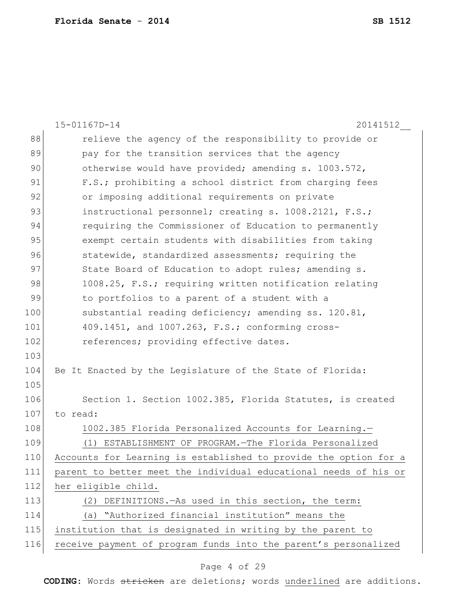|     | 15-01167D-14<br>20141512                                         |
|-----|------------------------------------------------------------------|
| 88  | relieve the agency of the responsibility to provide or           |
| 89  | pay for the transition services that the agency                  |
| 90  | otherwise would have provided; amending s. 1003.572,             |
| 91  | F.S.; prohibiting a school district from charging fees           |
| 92  | or imposing additional requirements on private                   |
| 93  | instructional personnel; creating s. 1008.2121, F.S.;            |
| 94  | requiring the Commissioner of Education to permanently           |
| 95  | exempt certain students with disabilities from taking            |
| 96  | statewide, standardized assessments; requiring the               |
| 97  | State Board of Education to adopt rules; amending s.             |
| 98  | 1008.25, F.S.; requiring written notification relating           |
| 99  | to portfolios to a parent of a student with a                    |
| 100 | substantial reading deficiency; amending ss. 120.81,             |
| 101 | 409.1451, and 1007.263, F.S.; conforming cross-                  |
| 102 | references; providing effective dates.                           |
| 103 |                                                                  |
| 104 | Be It Enacted by the Legislature of the State of Florida:        |
| 105 |                                                                  |
| 106 | Section 1. Section 1002.385, Florida Statutes, is created        |
| 107 | to read:                                                         |
| 108 | 1002.385 Florida Personalized Accounts for Learning.-            |
| 109 | ESTABLISHMENT OF PROGRAM. - The Florida Personalized<br>(1)      |
| 110 | Accounts for Learning is established to provide the option for a |
| 111 | parent to better meet the individual educational needs of his or |
| 112 | her eligible child.                                              |
| 113 | (2) DEFINITIONS. As used in this section, the term:              |
| 114 | (a) "Authorized financial institution" means the                 |
| 115 | institution that is designated in writing by the parent to       |
| 116 | receive payment of program funds into the parent's personalized  |

# Page 4 of 29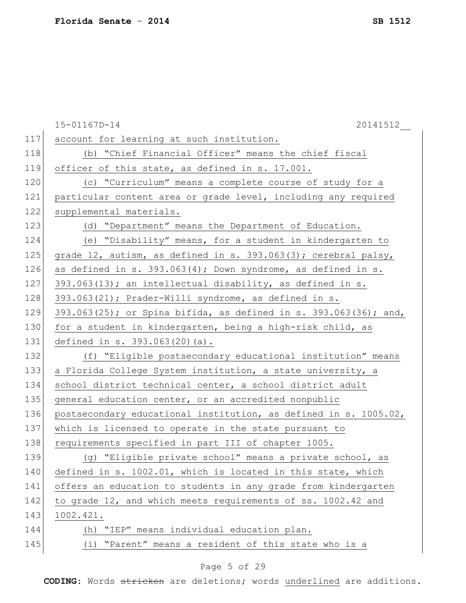|     | 20141512<br>15-01167D-14                                            |
|-----|---------------------------------------------------------------------|
| 117 | account for learning at such institution.                           |
| 118 | (b) "Chief Financial Officer" means the chief fiscal                |
| 119 | officer of this state, as defined in s. 17.001.                     |
| 120 | (c) "Curriculum" means a complete course of study for a             |
| 121 | particular content area or grade level, including any required      |
| 122 | supplemental materials.                                             |
| 123 | (d) "Department" means the Department of Education.                 |
| 124 | (e) "Disability" means, for a student in kindergarten to            |
| 125 | grade 12, autism, as defined in s. 393.063(3); cerebral palsy,      |
| 126 | as defined in s. 393.063(4); Down syndrome, as defined in s.        |
| 127 | $393.063(13)$ ; an intellectual disability, as defined in s.        |
| 128 | 393.063(21); Prader-Willi syndrome, as defined in s.                |
| 129 | $393.063(25)$ ; or Spina bifida, as defined in s. 393.063(36); and, |
| 130 | for a student in kindergarten, being a high-risk child, as          |
| 131 | defined in s. 393.063(20)(a).                                       |
| 132 | (f) "Eligible postsecondary educational institution" means          |
| 133 | a Florida College System institution, a state university, a         |
| 134 | school district technical center, a school district adult           |
| 135 | general education center, or an accredited nonpublic                |
| 136 | postsecondary educational institution, as defined in s. 1005.02,    |
| 137 | which is licensed to operate in the state pursuant to               |
| 138 | requirements specified in part III of chapter 1005.                 |
| 139 | (q) "Eligible private school" means a private school, as            |
| 140 | defined in s. 1002.01, which is located in this state, which        |
| 141 | offers an education to students in any grade from kindergarten      |
| 142 | to grade 12, and which meets requirements of ss. 1002.42 and        |
| 143 | 1002.421.                                                           |
| 144 | (h) "IEP" means individual education plan.                          |
| 145 | (i) "Parent" means a resident of this state who is a                |
|     |                                                                     |

# Page 5 of 29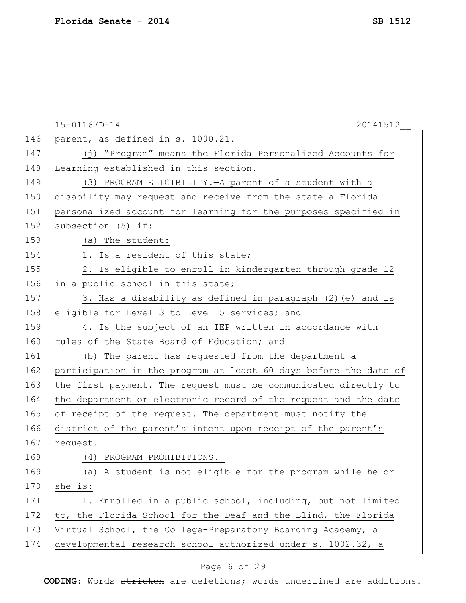|     | 15-01167D-14<br>20141512                                         |
|-----|------------------------------------------------------------------|
| 146 | parent, as defined in s. 1000.21.                                |
| 147 | (j) "Program" means the Florida Personalized Accounts for        |
| 148 | Learning established in this section.                            |
| 149 | (3) PROGRAM ELIGIBILITY. - A parent of a student with a          |
| 150 | disability may request and receive from the state a Florida      |
| 151 | personalized account for learning for the purposes specified in  |
| 152 | subsection (5) if:                                               |
| 153 | (a) The student:                                                 |
| 154 | 1. Is a resident of this state;                                  |
| 155 | 2. Is eligible to enroll in kindergarten through grade 12        |
| 156 | in a public school in this state;                                |
| 157 | 3. Has a disability as defined in paragraph (2) (e) and is       |
| 158 | eligible for Level 3 to Level 5 services; and                    |
| 159 | 4. Is the subject of an IEP written in accordance with           |
| 160 | rules of the State Board of Education; and                       |
| 161 | (b) The parent has requested from the department a               |
| 162 | participation in the program at least 60 days before the date of |
| 163 | the first payment. The request must be communicated directly to  |
| 164 | the department or electronic record of the request and the date  |
| 165 | of receipt of the request. The department must notify the        |
| 166 | district of the parent's intent upon receipt of the parent's     |
| 167 | request.                                                         |
| 168 | (4) PROGRAM PROHIBITIONS.-                                       |
| 169 | (a) A student is not eligible for the program while he or        |
| 170 | she is:                                                          |
| 171 | 1. Enrolled in a public school, including, but not limited       |
| 172 | to, the Florida School for the Deaf and the Blind, the Florida   |
| 173 | Virtual School, the College-Preparatory Boarding Academy, a      |
| 174 | developmental research school authorized under s. 1002.32, a     |

# Page 6 of 29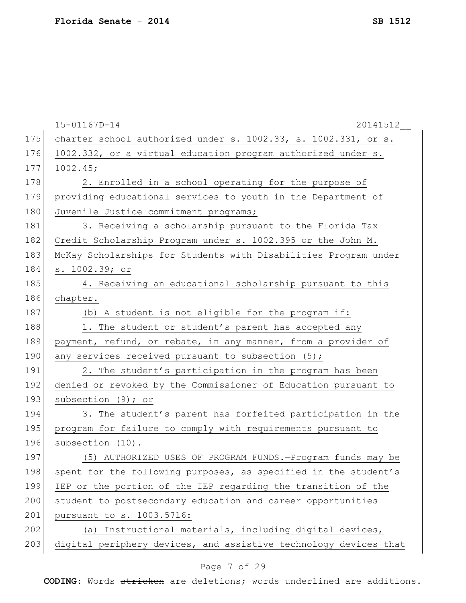|     | 15-01167D-14<br>20141512                                         |
|-----|------------------------------------------------------------------|
| 175 | charter school authorized under s. 1002.33, s. 1002.331, or s.   |
| 176 | 1002.332, or a virtual education program authorized under s.     |
| 177 | 1002.45;                                                         |
| 178 | 2. Enrolled in a school operating for the purpose of             |
| 179 | providing educational services to youth in the Department of     |
| 180 | Juvenile Justice commitment programs;                            |
| 181 | 3. Receiving a scholarship pursuant to the Florida Tax           |
| 182 | Credit Scholarship Program under s. 1002.395 or the John M.      |
| 183 | McKay Scholarships for Students with Disabilities Program under  |
| 184 | s. 1002.39; or                                                   |
| 185 | 4. Receiving an educational scholarship pursuant to this         |
| 186 | chapter.                                                         |
| 187 | (b) A student is not eligible for the program if:                |
| 188 | 1. The student or student's parent has accepted any              |
| 189 | payment, refund, or rebate, in any manner, from a provider of    |
| 190 | any services received pursuant to subsection (5);                |
| 191 | 2. The student's participation in the program has been           |
| 192 | denied or revoked by the Commissioner of Education pursuant to   |
| 193 | subsection (9); or                                               |
| 194 | 3. The student's parent has forfeited participation in the       |
| 195 | program for failure to comply with requirements pursuant to      |
| 196 | subsection (10).                                                 |
| 197 | (5) AUTHORIZED USES OF PROGRAM FUNDS.-Program funds may be       |
| 198 | spent for the following purposes, as specified in the student's  |
| 199 | IEP or the portion of the IEP regarding the transition of the    |
| 200 | student to postsecondary education and career opportunities      |
| 201 | pursuant to s. 1003.5716:                                        |
| 202 | (a) Instructional materials, including digital devices,          |
| 203 | digital periphery devices, and assistive technology devices that |

# Page 7 of 29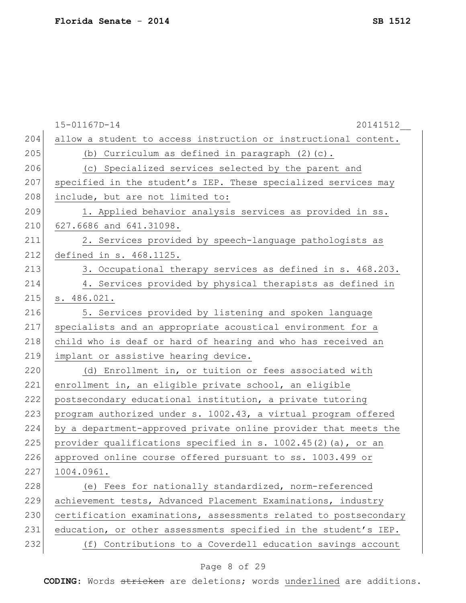|     | 15-01167D-14<br>20141512                                         |
|-----|------------------------------------------------------------------|
| 204 | allow a student to access instruction or instructional content.  |
| 205 | (b) Curriculum as defined in paragraph (2)(c).                   |
| 206 | (c) Specialized services selected by the parent and              |
| 207 | specified in the student's IEP. These specialized services may   |
| 208 | include, but are not limited to:                                 |
| 209 | 1. Applied behavior analysis services as provided in ss.         |
| 210 | 627.6686 and 641.31098.                                          |
| 211 | 2. Services provided by speech-language pathologists as          |
| 212 | defined in s. 468.1125.                                          |
| 213 | 3. Occupational therapy services as defined in s. 468.203.       |
| 214 | 4. Services provided by physical therapists as defined in        |
| 215 | s. 486.021.                                                      |
| 216 | 5. Services provided by listening and spoken language            |
| 217 | specialists and an appropriate acoustical environment for a      |
| 218 | child who is deaf or hard of hearing and who has received an     |
| 219 | implant or assistive hearing device.                             |
| 220 | (d) Enrollment in, or tuition or fees associated with            |
| 221 | enrollment in, an eligible private school, an eligible           |
| 222 | postsecondary educational institution, a private tutoring        |
| 223 | program authorized under s. 1002.43, a virtual program offered   |
| 224 | by a department-approved private online provider that meets the  |
| 225 | provider qualifications specified in s. 1002.45(2)(a), or an     |
| 226 | approved online course offered pursuant to ss. 1003.499 or       |
| 227 | 1004.0961.                                                       |
| 228 | (e) Fees for nationally standardized, norm-referenced            |
| 229 | achievement tests, Advanced Placement Examinations, industry     |
| 230 | certification examinations, assessments related to postsecondary |
| 231 | education, or other assessments specified in the student's IEP.  |
| 232 | (f) Contributions to a Coverdell education savings account       |
|     |                                                                  |

# Page 8 of 29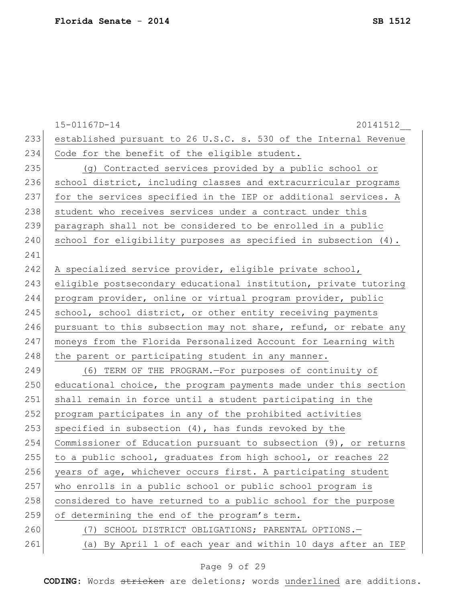|     | 15-01167D-14<br>20141512                                         |
|-----|------------------------------------------------------------------|
| 233 | established pursuant to 26 U.S.C. s. 530 of the Internal Revenue |
| 234 | Code for the benefit of the eligible student.                    |
| 235 | (g) Contracted services provided by a public school or           |
| 236 | school district, including classes and extracurricular programs  |
| 237 | for the services specified in the IEP or additional services. A  |
| 238 | student who receives services under a contract under this        |
| 239 | paragraph shall not be considered to be enrolled in a public     |
| 240 | school for eligibility purposes as specified in subsection (4).  |
| 241 |                                                                  |
| 242 | A specialized service provider, eligible private school,         |
| 243 | eligible postsecondary educational institution, private tutoring |
| 244 | program provider, online or virtual program provider, public     |
| 245 | school, school district, or other entity receiving payments      |
| 246 | pursuant to this subsection may not share, refund, or rebate any |
| 247 | moneys from the Florida Personalized Account for Learning with   |
| 248 | the parent or participating student in any manner.               |
| 249 | (6) TERM OF THE PROGRAM. - For purposes of continuity of         |
| 250 | educational choice, the program payments made under this section |
| 251 | shall remain in force until a student participating in the       |
| 252 | program participates in any of the prohibited activities         |
| 253 | specified in subsection $(4)$ , has funds revoked by the         |
| 254 | Commissioner of Education pursuant to subsection (9), or returns |
| 255 | to a public school, graduates from high school, or reaches 22    |
| 256 | years of age, whichever occurs first. A participating student    |
| 257 | who enrolls in a public school or public school program is       |
| 258 | considered to have returned to a public school for the purpose   |
| 259 | of determining the end of the program's term.                    |
| 260 | (7) SCHOOL DISTRICT OBLIGATIONS; PARENTAL OPTIONS.-              |
| 261 | (a) By April 1 of each year and within 10 days after an IEP      |

# Page 9 of 29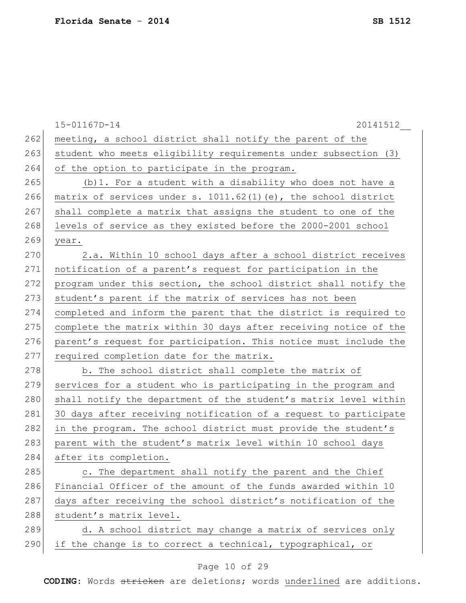|     | 15-01167D-14<br>20141512                                          |
|-----|-------------------------------------------------------------------|
| 262 | meeting, a school district shall notify the parent of the         |
| 263 | student who meets eligibility requirements under subsection (3)   |
| 264 | of the option to participate in the program.                      |
| 265 | (b) 1. For a student with a disability who does not have a        |
| 266 | matrix of services under s. $1011.62(1)$ (e), the school district |
| 267 | shall complete a matrix that assigns the student to one of the    |
| 268 | levels of service as they existed before the 2000-2001 school     |
| 269 | year.                                                             |
| 270 | 2.a. Within 10 school days after a school district receives       |
| 271 | notification of a parent's request for participation in the       |
| 272 | program under this section, the school district shall notify the  |
| 273 | student's parent if the matrix of services has not been           |
| 274 | completed and inform the parent that the district is required to  |
| 275 | complete the matrix within 30 days after receiving notice of the  |
| 276 | parent's request for participation. This notice must include the  |
| 277 | required completion date for the matrix.                          |
| 278 | b. The school district shall complete the matrix of               |
| 279 | services for a student who is participating in the program and    |
| 280 | shall notify the department of the student's matrix level within  |
| 281 | 30 days after receiving notification of a request to participate  |
| 282 | in the program. The school district must provide the student's    |
| 283 | parent with the student's matrix level within 10 school days      |
| 284 | after its completion.                                             |
| 285 | c. The department shall notify the parent and the Chief           |
| 286 | Financial Officer of the amount of the funds awarded within 10    |
| 287 | days after receiving the school district's notification of the    |
| 288 | student's matrix level.                                           |
| 289 | d. A school district may change a matrix of services only         |
| 290 | if the change is to correct a technical, typographical, or        |
|     |                                                                   |

# Page 10 of 29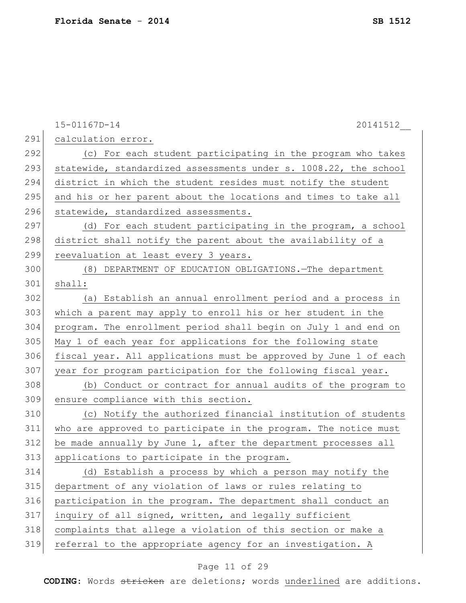|     | 15-01167D-14<br>20141512                                         |
|-----|------------------------------------------------------------------|
| 291 | calculation error.                                               |
| 292 | (c) For each student participating in the program who takes      |
| 293 | statewide, standardized assessments under s. 1008.22, the school |
| 294 | district in which the student resides must notify the student    |
| 295 | and his or her parent about the locations and times to take all  |
| 296 | statewide, standardized assessments.                             |
| 297 | (d) For each student participating in the program, a school      |
| 298 | district shall notify the parent about the availability of a     |
| 299 | reevaluation at least every 3 years.                             |
| 300 | (8) DEPARTMENT OF EDUCATION OBLIGATIONS. - The department        |
| 301 | shall:                                                           |
| 302 | (a) Establish an annual enrollment period and a process in       |
| 303 | which a parent may apply to enroll his or her student in the     |
| 304 | program. The enrollment period shall begin on July 1 and end on  |
| 305 | May 1 of each year for applications for the following state      |
| 306 | fiscal year. All applications must be approved by June 1 of each |
| 307 | year for program participation for the following fiscal year.    |
| 308 | (b) Conduct or contract for annual audits of the program to      |
| 309 | ensure compliance with this section.                             |
| 310 | (c) Notify the authorized financial institution of students      |
| 311 | who are approved to participate in the program. The notice must  |
| 312 | be made annually by June 1, after the department processes all   |
| 313 | applications to participate in the program.                      |
| 314 | (d) Establish a process by which a person may notify the         |
| 315 | department of any violation of laws or rules relating to         |
| 316 | participation in the program. The department shall conduct an    |
| 317 | inquiry of all signed, written, and legally sufficient           |
| 318 | complaints that allege a violation of this section or make a     |
| 319 | referral to the appropriate agency for an investigation. A       |

# Page 11 of 29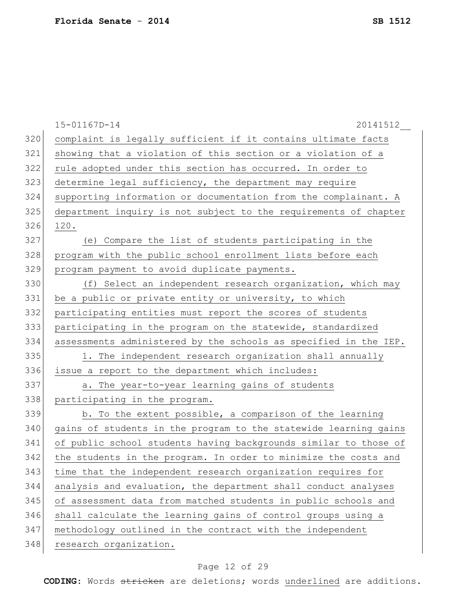|     | 15-01167D-14<br>20141512                                         |
|-----|------------------------------------------------------------------|
| 320 | complaint is legally sufficient if it contains ultimate facts    |
| 321 | showing that a violation of this section or a violation of a     |
| 322 | rule adopted under this section has occurred. In order to        |
| 323 | determine legal sufficiency, the department may require          |
| 324 | supporting information or documentation from the complainant. A  |
| 325 | department inquiry is not subject to the requirements of chapter |
| 326 | 120.                                                             |
| 327 | (e) Compare the list of students participating in the            |
| 328 | program with the public school enrollment lists before each      |
| 329 | program payment to avoid duplicate payments.                     |
| 330 | (f) Select an independent research organization, which may       |
| 331 | be a public or private entity or university, to which            |
| 332 | participating entities must report the scores of students        |
| 333 | participating in the program on the statewide, standardized      |
| 334 | assessments administered by the schools as specified in the IEP. |
| 335 | 1. The independent research organization shall annually          |
| 336 | issue a report to the department which includes:                 |
| 337 | a. The year-to-year learning gains of students                   |
| 338 | participating in the program.                                    |
| 339 | b. To the extent possible, a comparison of the learning          |
| 340 | gains of students in the program to the statewide learning gains |
| 341 | of public school students having backgrounds similar to those of |
| 342 | the students in the program. In order to minimize the costs and  |
| 343 | time that the independent research organization requires for     |
| 344 | analysis and evaluation, the department shall conduct analyses   |
| 345 | of assessment data from matched students in public schools and   |
| 346 | shall calculate the learning gains of control groups using a     |
| 347 | methodology outlined in the contract with the independent        |
| 348 | research organization.                                           |
|     |                                                                  |

# Page 12 of 29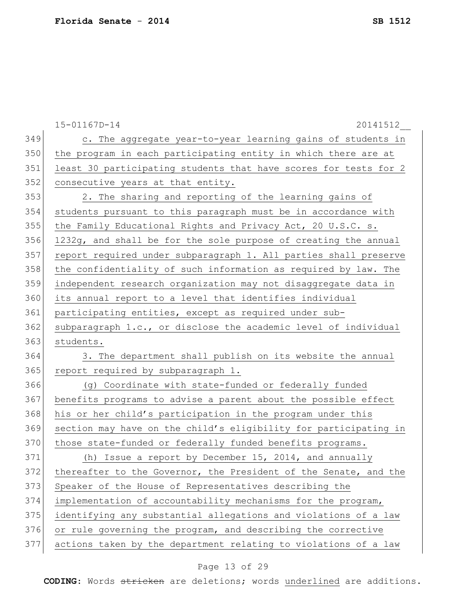|     | $15 - 01167D - 14$<br>20141512                                   |
|-----|------------------------------------------------------------------|
| 349 | c. The aggregate year-to-year learning gains of students in      |
| 350 | the program in each participating entity in which there are at   |
| 351 | least 30 participating students that have scores for tests for 2 |
| 352 | consecutive years at that entity.                                |
| 353 | 2. The sharing and reporting of the learning gains of            |
| 354 | students pursuant to this paragraph must be in accordance with   |
| 355 | the Family Educational Rights and Privacy Act, 20 U.S.C. s.      |
| 356 | 1232g, and shall be for the sole purpose of creating the annual  |
| 357 | report required under subparagraph 1. All parties shall preserve |
| 358 | the confidentiality of such information as required by law. The  |
| 359 | independent research organization may not disaggregate data in   |
| 360 | its annual report to a level that identifies individual          |
| 361 | participating entities, except as required under sub-            |
| 362 | subparagraph 1.c., or disclose the academic level of individual  |
| 363 | students.                                                        |
| 364 | 3. The department shall publish on its website the annual        |
| 365 | report required by subparagraph 1.                               |
| 366 | (g) Coordinate with state-funded or federally funded             |
| 367 | benefits programs to advise a parent about the possible effect   |
| 368 | his or her child's participation in the program under this       |
| 369 | section may have on the child's eligibility for participating in |
| 370 | those state-funded or federally funded benefits programs.        |
| 371 | (h) Issue a report by December 15, 2014, and annually            |
| 372 | thereafter to the Governor, the President of the Senate, and the |
| 373 | Speaker of the House of Representatives describing the           |
| 374 | implementation of accountability mechanisms for the program,     |
| 375 | identifying any substantial allegations and violations of a law  |
| 376 | or rule governing the program, and describing the corrective     |
| 377 | actions taken by the department relating to violations of a law  |

# Page 13 of 29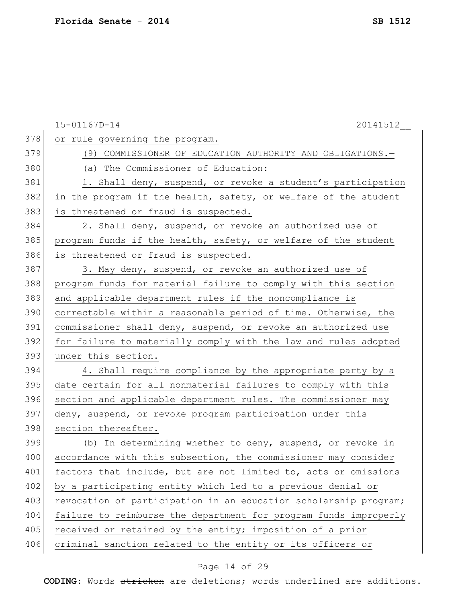|     | 15-01167D-14<br>20141512                                         |
|-----|------------------------------------------------------------------|
| 378 | or rule governing the program.                                   |
| 379 | (9) COMMISSIONER OF EDUCATION AUTHORITY AND OBLIGATIONS.-        |
| 380 | (a) The Commissioner of Education:                               |
| 381 | 1. Shall deny, suspend, or revoke a student's participation      |
| 382 | in the program if the health, safety, or welfare of the student  |
| 383 | is threatened or fraud is suspected.                             |
| 384 | 2. Shall deny, suspend, or revoke an authorized use of           |
| 385 | program funds if the health, safety, or welfare of the student   |
| 386 | is threatened or fraud is suspected.                             |
| 387 | 3. May deny, suspend, or revoke an authorized use of             |
| 388 | program funds for material failure to comply with this section   |
| 389 | and applicable department rules if the noncompliance is          |
| 390 | correctable within a reasonable period of time. Otherwise, the   |
| 391 | commissioner shall deny, suspend, or revoke an authorized use    |
| 392 | for failure to materially comply with the law and rules adopted  |
| 393 | under this section.                                              |
| 394 | 4. Shall require compliance by the appropriate party by a        |
| 395 | date certain for all nonmaterial failures to comply with this    |
| 396 | section and applicable department rules. The commissioner may    |
| 397 | deny, suspend, or revoke program participation under this        |
| 398 | section thereafter.                                              |
| 399 | (b) In determining whether to deny, suspend, or revoke in        |
| 400 | accordance with this subsection, the commissioner may consider   |
| 401 | factors that include, but are not limited to, acts or omissions  |
| 402 | by a participating entity which led to a previous denial or      |
| 403 | revocation of participation in an education scholarship program; |
| 404 | failure to reimburse the department for program funds improperly |
| 405 | received or retained by the entity; imposition of a prior        |
| 406 | criminal sanction related to the entity or its officers or       |

# Page 14 of 29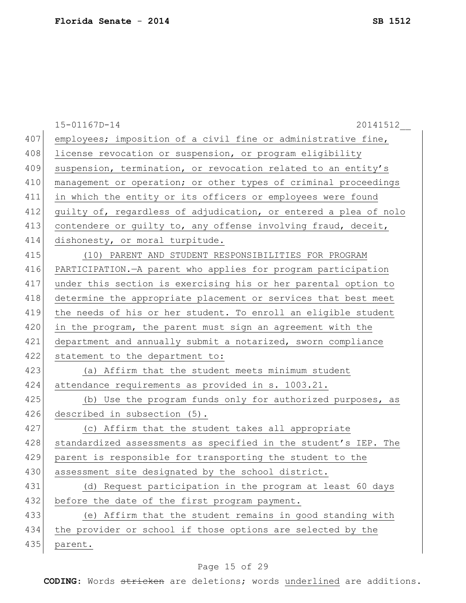|     | 15-01167D-14<br>20141512                                         |
|-----|------------------------------------------------------------------|
| 407 | employees; imposition of a civil fine or administrative fine,    |
| 408 | license revocation or suspension, or program eligibility         |
| 409 | suspension, termination, or revocation related to an entity's    |
| 410 | management or operation; or other types of criminal proceedings  |
| 411 | in which the entity or its officers or employees were found      |
| 412 | quilty of, regardless of adjudication, or entered a plea of nolo |
| 413 | contendere or guilty to, any offense involving fraud, deceit,    |
| 414 | dishonesty, or moral turpitude.                                  |
| 415 | (10) PARENT AND STUDENT RESPONSIBILITIES FOR PROGRAM             |
| 416 | PARTICIPATION.-A parent who applies for program participation    |
| 417 | under this section is exercising his or her parental option to   |
| 418 | determine the appropriate placement or services that best meet   |
| 419 | the needs of his or her student. To enroll an eligible student   |
| 420 | in the program, the parent must sign an agreement with the       |
| 421 | department and annually submit a notarized, sworn compliance     |
| 422 | statement to the department to:                                  |
| 423 | (a) Affirm that the student meets minimum student                |
| 424 | attendance requirements as provided in s. 1003.21.               |
| 425 | (b) Use the program funds only for authorized purposes, as       |
| 426 | described in subsection (5).                                     |
| 427 | (c) Affirm that the student takes all appropriate                |
| 428 | standardized assessments as specified in the student's IEP. The  |
| 429 | parent is responsible for transporting the student to the        |
| 430 | assessment site designated by the school district.               |
| 431 | (d) Request participation in the program at least 60 days        |
| 432 | before the date of the first program payment.                    |
| 433 | (e) Affirm that the student remains in good standing with        |
| 434 | the provider or school if those options are selected by the      |
| 435 | parent.                                                          |

# Page 15 of 29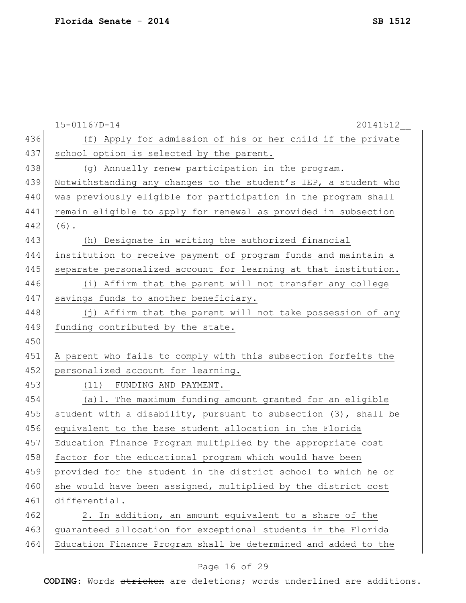|     | 15-01167D-14<br>20141512                                        |
|-----|-----------------------------------------------------------------|
| 436 | (f) Apply for admission of his or her child if the private      |
| 437 | school option is selected by the parent.                        |
| 438 | (g) Annually renew participation in the program.                |
| 439 | Notwithstanding any changes to the student's IEP, a student who |
| 440 | was previously eligible for participation in the program shall  |
| 441 | remain eligible to apply for renewal as provided in subsection  |
| 442 | $(6)$ .                                                         |
| 443 | (h) Designate in writing the authorized financial               |
| 444 | institution to receive payment of program funds and maintain a  |
| 445 | separate personalized account for learning at that institution. |
| 446 | (i) Affirm that the parent will not transfer any college        |
| 447 | savings funds to another beneficiary.                           |
| 448 | (j) Affirm that the parent will not take possession of any      |
| 449 | funding contributed by the state.                               |
| 450 |                                                                 |
| 451 | A parent who fails to comply with this subsection forfeits the  |
| 452 | personalized account for learning.                              |
| 453 | (11) FUNDING AND PAYMENT.-                                      |
| 454 | (a) 1. The maximum funding amount granted for an eligible       |
| 455 | student with a disability, pursuant to subsection (3), shall be |
| 456 | equivalent to the base student allocation in the Florida        |
| 457 | Education Finance Program multiplied by the appropriate cost    |
| 458 | factor for the educational program which would have been        |
| 459 | provided for the student in the district school to which he or  |
| 460 | she would have been assigned, multiplied by the district cost   |
| 461 | differential.                                                   |
| 462 | 2. In addition, an amount equivalent to a share of the          |
| 463 | guaranteed allocation for exceptional students in the Florida   |
| 464 | Education Finance Program shall be determined and added to the  |
|     |                                                                 |

# Page 16 of 29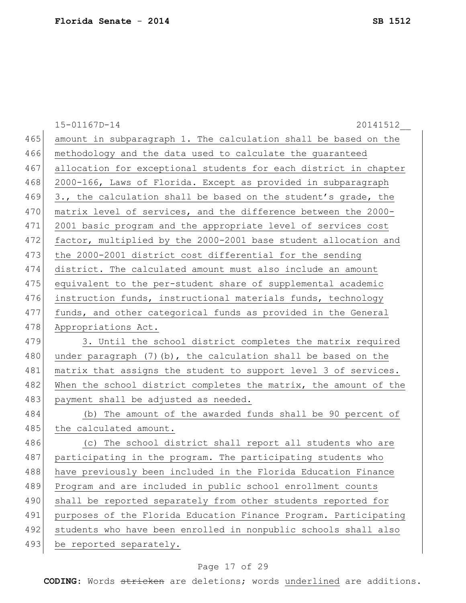|     | 15-01167D-14<br>20141512                                         |
|-----|------------------------------------------------------------------|
| 465 | amount in subparagraph 1. The calculation shall be based on the  |
| 466 | methodology and the data used to calculate the guaranteed        |
| 467 | allocation for exceptional students for each district in chapter |
| 468 | 2000-166, Laws of Florida. Except as provided in subparagraph    |
| 469 | 3., the calculation shall be based on the student's grade, the   |
| 470 | matrix level of services, and the difference between the 2000-   |
| 471 | 2001 basic program and the appropriate level of services cost    |
| 472 | factor, multiplied by the 2000-2001 base student allocation and  |
| 473 | the 2000-2001 district cost differential for the sending         |
| 474 | district. The calculated amount must also include an amount      |
| 475 | equivalent to the per-student share of supplemental academic     |
| 476 | instruction funds, instructional materials funds, technology     |
| 477 | funds, and other categorical funds as provided in the General    |
| 478 | Appropriations Act.                                              |
| 479 | 3. Until the school district completes the matrix required       |
| 480 | under paragraph $(7)$ (b), the calculation shall be based on the |
| 481 | matrix that assigns the student to support level 3 of services.  |
| 482 | When the school district completes the matrix, the amount of the |
| 483 | payment shall be adjusted as needed.                             |
| 484 | (b) The amount of the awarded funds shall be 90 percent of       |
| 485 | the calculated amount.                                           |
| 486 | (c) The school district shall report all students who are        |
| 487 | participating in the program. The participating students who     |
| 488 | have previously been included in the Florida Education Finance   |
| 489 | Program and are included in public school enrollment counts      |
| 490 | shall be reported separately from other students reported for    |
| 491 | purposes of the Florida Education Finance Program. Participating |
| 492 | students who have been enrolled in nonpublic schools shall also  |
| 493 | be reported separately.                                          |

# Page 17 of 29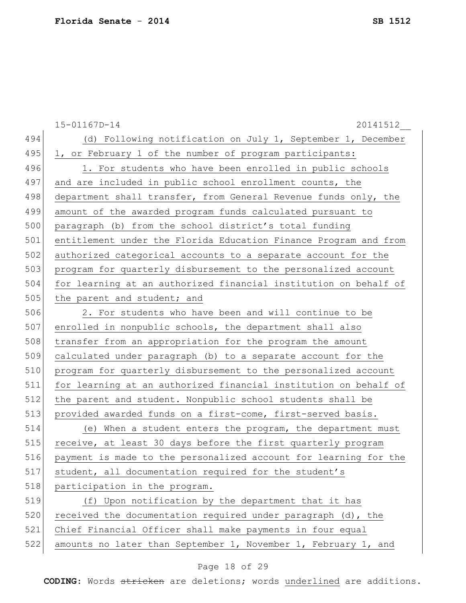|     | $15 - 01167D - 14$<br>20141512                                   |
|-----|------------------------------------------------------------------|
| 494 | (d) Following notification on July 1, September 1, December      |
| 495 | 1, or February 1 of the number of program participants:          |
| 496 | 1. For students who have been enrolled in public schools         |
| 497 | and are included in public school enrollment counts, the         |
| 498 | department shall transfer, from General Revenue funds only, the  |
| 499 | amount of the awarded program funds calculated pursuant to       |
| 500 | paragraph (b) from the school district's total funding           |
| 501 | entitlement under the Florida Education Finance Program and from |
| 502 | authorized categorical accounts to a separate account for the    |
| 503 | program for quarterly disbursement to the personalized account   |
| 504 | for learning at an authorized financial institution on behalf of |
| 505 | the parent and student; and                                      |
| 506 | 2. For students who have been and will continue to be            |
| 507 | enrolled in nonpublic schools, the department shall also         |
| 508 | transfer from an appropriation for the program the amount        |
| 509 | calculated under paragraph (b) to a separate account for the     |
| 510 | program for quarterly disbursement to the personalized account   |
| 511 | for learning at an authorized financial institution on behalf of |
| 512 | the parent and student. Nonpublic school students shall be       |
| 513 | provided awarded funds on a first-come, first-served basis.      |
| 514 | (e) When a student enters the program, the department must       |
| 515 | receive, at least 30 days before the first quarterly program     |
| 516 | payment is made to the personalized account for learning for the |
| 517 | student, all documentation required for the student's            |
| 518 | participation in the program.                                    |
| 519 | (f) Upon notification by the department that it has              |
| 520 | received the documentation required under paragraph (d), the     |
| 521 | Chief Financial Officer shall make payments in four equal        |
| 522 | amounts no later than September 1, November 1, February 1, and   |

# Page 18 of 29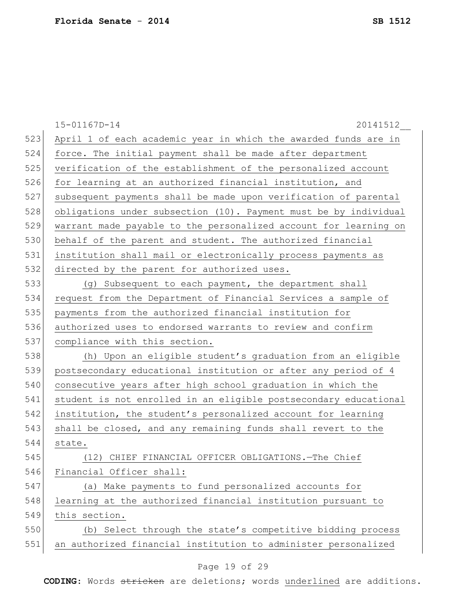|     | 15-01167D-14<br>20141512                                         |
|-----|------------------------------------------------------------------|
| 523 | April 1 of each academic year in which the awarded funds are in  |
| 524 | force. The initial payment shall be made after department        |
| 525 | verification of the establishment of the personalized account    |
| 526 | for learning at an authorized financial institution, and         |
| 527 | subsequent payments shall be made upon verification of parental  |
| 528 | obligations under subsection (10). Payment must be by individual |
| 529 | warrant made payable to the personalized account for learning on |
| 530 | behalf of the parent and student. The authorized financial       |
| 531 | institution shall mail or electronically process payments as     |
| 532 | directed by the parent for authorized uses.                      |
| 533 | (g) Subsequent to each payment, the department shall             |
| 534 | request from the Department of Financial Services a sample of    |
| 535 | payments from the authorized financial institution for           |
| 536 | authorized uses to endorsed warrants to review and confirm       |
| 537 | compliance with this section.                                    |
| 538 | (h) Upon an eligible student's graduation from an eligible       |
| 539 | postsecondary educational institution or after any period of 4   |
| 540 | consecutive years after high school graduation in which the      |
| 541 | student is not enrolled in an eligible postsecondary educational |
| 542 | institution, the student's personalized account for learning     |
| 543 | shall be closed, and any remaining funds shall revert to the     |
| 544 | state.                                                           |
| 545 | (12)<br>CHIEF FINANCIAL OFFICER OBLIGATIONS. - The Chief         |
| 546 | Financial Officer shall:                                         |
| 547 | (a) Make payments to fund personalized accounts for              |
| 548 | learning at the authorized financial institution pursuant to     |
| 549 | this section.                                                    |
| 550 | (b) Select through the state's competitive bidding process       |
| 551 | an authorized financial institution to administer personalized   |
|     |                                                                  |

# Page 19 of 29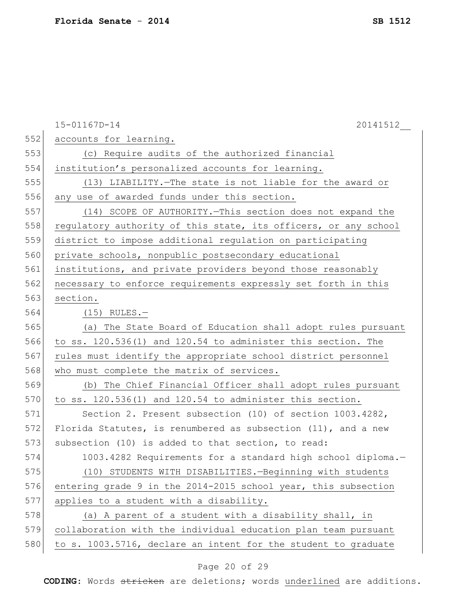| 552<br>accounts for learning.<br>553<br>(c) Require audits of the authorized financial<br>554<br>institution's personalized accounts for learning.<br>555<br>(13) LIABILITY. - The state is not liable for the award or<br>556<br>any use of awarded funds under this section.<br>557<br>(14) SCOPE OF AUTHORITY. - This section does not expand the<br>558<br>regulatory authority of this state, its officers, or any school<br>559<br>district to impose additional regulation on participating<br>560<br>private schools, nonpublic postsecondary educational<br>561<br>institutions, and private providers beyond those reasonably<br>562<br>necessary to enforce requirements expressly set forth in this<br>563<br>section.<br>564<br>$(15)$ RULES.-<br>565<br>(a) The State Board of Education shall adopt rules pursuant<br>566<br>to ss. 120.536(1) and 120.54 to administer this section. The<br>567<br>rules must identify the appropriate school district personnel |
|----------------------------------------------------------------------------------------------------------------------------------------------------------------------------------------------------------------------------------------------------------------------------------------------------------------------------------------------------------------------------------------------------------------------------------------------------------------------------------------------------------------------------------------------------------------------------------------------------------------------------------------------------------------------------------------------------------------------------------------------------------------------------------------------------------------------------------------------------------------------------------------------------------------------------------------------------------------------------------|
|                                                                                                                                                                                                                                                                                                                                                                                                                                                                                                                                                                                                                                                                                                                                                                                                                                                                                                                                                                                  |
|                                                                                                                                                                                                                                                                                                                                                                                                                                                                                                                                                                                                                                                                                                                                                                                                                                                                                                                                                                                  |
|                                                                                                                                                                                                                                                                                                                                                                                                                                                                                                                                                                                                                                                                                                                                                                                                                                                                                                                                                                                  |
|                                                                                                                                                                                                                                                                                                                                                                                                                                                                                                                                                                                                                                                                                                                                                                                                                                                                                                                                                                                  |
|                                                                                                                                                                                                                                                                                                                                                                                                                                                                                                                                                                                                                                                                                                                                                                                                                                                                                                                                                                                  |
|                                                                                                                                                                                                                                                                                                                                                                                                                                                                                                                                                                                                                                                                                                                                                                                                                                                                                                                                                                                  |
|                                                                                                                                                                                                                                                                                                                                                                                                                                                                                                                                                                                                                                                                                                                                                                                                                                                                                                                                                                                  |
|                                                                                                                                                                                                                                                                                                                                                                                                                                                                                                                                                                                                                                                                                                                                                                                                                                                                                                                                                                                  |
|                                                                                                                                                                                                                                                                                                                                                                                                                                                                                                                                                                                                                                                                                                                                                                                                                                                                                                                                                                                  |
|                                                                                                                                                                                                                                                                                                                                                                                                                                                                                                                                                                                                                                                                                                                                                                                                                                                                                                                                                                                  |
|                                                                                                                                                                                                                                                                                                                                                                                                                                                                                                                                                                                                                                                                                                                                                                                                                                                                                                                                                                                  |
|                                                                                                                                                                                                                                                                                                                                                                                                                                                                                                                                                                                                                                                                                                                                                                                                                                                                                                                                                                                  |
|                                                                                                                                                                                                                                                                                                                                                                                                                                                                                                                                                                                                                                                                                                                                                                                                                                                                                                                                                                                  |
|                                                                                                                                                                                                                                                                                                                                                                                                                                                                                                                                                                                                                                                                                                                                                                                                                                                                                                                                                                                  |
|                                                                                                                                                                                                                                                                                                                                                                                                                                                                                                                                                                                                                                                                                                                                                                                                                                                                                                                                                                                  |
|                                                                                                                                                                                                                                                                                                                                                                                                                                                                                                                                                                                                                                                                                                                                                                                                                                                                                                                                                                                  |
| 568<br>who must complete the matrix of services.                                                                                                                                                                                                                                                                                                                                                                                                                                                                                                                                                                                                                                                                                                                                                                                                                                                                                                                                 |
| 569<br>(b) The Chief Financial Officer shall adopt rules pursuant                                                                                                                                                                                                                                                                                                                                                                                                                                                                                                                                                                                                                                                                                                                                                                                                                                                                                                                |
| 570<br>to ss. 120.536(1) and 120.54 to administer this section.                                                                                                                                                                                                                                                                                                                                                                                                                                                                                                                                                                                                                                                                                                                                                                                                                                                                                                                  |
| 571<br>Section 2. Present subsection (10) of section 1003.4282,                                                                                                                                                                                                                                                                                                                                                                                                                                                                                                                                                                                                                                                                                                                                                                                                                                                                                                                  |
| 572<br>Florida Statutes, is renumbered as subsection (11), and a new                                                                                                                                                                                                                                                                                                                                                                                                                                                                                                                                                                                                                                                                                                                                                                                                                                                                                                             |
| 573<br>subsection (10) is added to that section, to read:                                                                                                                                                                                                                                                                                                                                                                                                                                                                                                                                                                                                                                                                                                                                                                                                                                                                                                                        |
| 574<br>1003.4282 Requirements for a standard high school diploma.-                                                                                                                                                                                                                                                                                                                                                                                                                                                                                                                                                                                                                                                                                                                                                                                                                                                                                                               |
| 575<br>(10) STUDENTS WITH DISABILITIES.-Beginning with students                                                                                                                                                                                                                                                                                                                                                                                                                                                                                                                                                                                                                                                                                                                                                                                                                                                                                                                  |
| 576<br>entering grade 9 in the 2014-2015 school year, this subsection                                                                                                                                                                                                                                                                                                                                                                                                                                                                                                                                                                                                                                                                                                                                                                                                                                                                                                            |
| 577<br>applies to a student with a disability.                                                                                                                                                                                                                                                                                                                                                                                                                                                                                                                                                                                                                                                                                                                                                                                                                                                                                                                                   |
| 578<br>(a) A parent of a student with a disability shall, in                                                                                                                                                                                                                                                                                                                                                                                                                                                                                                                                                                                                                                                                                                                                                                                                                                                                                                                     |
| 579<br>collaboration with the individual education plan team pursuant                                                                                                                                                                                                                                                                                                                                                                                                                                                                                                                                                                                                                                                                                                                                                                                                                                                                                                            |
| 580<br>to s. 1003.5716, declare an intent for the student to graduate                                                                                                                                                                                                                                                                                                                                                                                                                                                                                                                                                                                                                                                                                                                                                                                                                                                                                                            |

# Page 20 of 29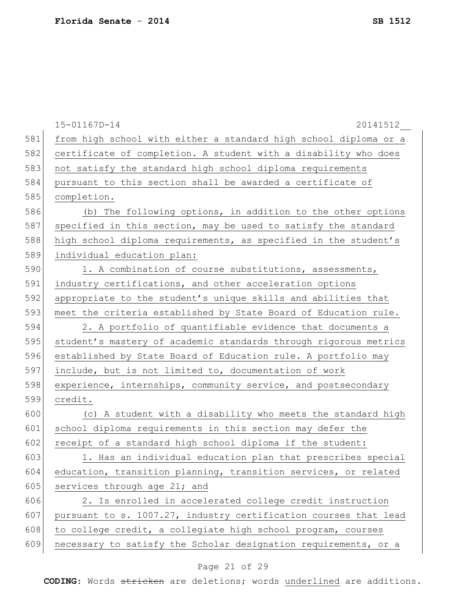|     | $15 - 01167D - 14$<br>20141512                                   |
|-----|------------------------------------------------------------------|
| 581 | from high school with either a standard high school diploma or a |
| 582 | certificate of completion. A student with a disability who does  |
| 583 | not satisfy the standard high school diploma requirements        |
| 584 | pursuant to this section shall be awarded a certificate of       |
| 585 | completion.                                                      |
| 586 | (b) The following options, in addition to the other options      |
| 587 | specified in this section, may be used to satisfy the standard   |
| 588 | high school diploma requirements, as specified in the student's  |
| 589 | individual education plan:                                       |
| 590 | 1. A combination of course substitutions, assessments,           |
| 591 | industry certifications, and other acceleration options          |
| 592 | appropriate to the student's unique skills and abilities that    |
| 593 | meet the criteria established by State Board of Education rule.  |
| 594 | 2. A portfolio of quantifiable evidence that documents a         |
| 595 | student's mastery of academic standards through rigorous metrics |
| 596 | established by State Board of Education rule. A portfolio may    |
| 597 | include, but is not limited to, documentation of work            |
| 598 | experience, internships, community service, and postsecondary    |
| 599 | credit.                                                          |
| 600 | (c) A student with a disability who meets the standard high      |
| 601 | school diploma requirements in this section may defer the        |
| 602 | receipt of a standard high school diploma if the student:        |
| 603 | 1. Has an individual education plan that prescribes special      |
| 604 | education, transition planning, transition services, or related  |
| 605 | services through age 21; and                                     |
| 606 | 2. Is enrolled in accelerated college credit instruction         |
| 607 | pursuant to s. 1007.27, industry certification courses that lead |
| 608 | to college credit, a collegiate high school program, courses     |
| 609 | necessary to satisfy the Scholar designation requirements, or a  |

# Page 21 of 29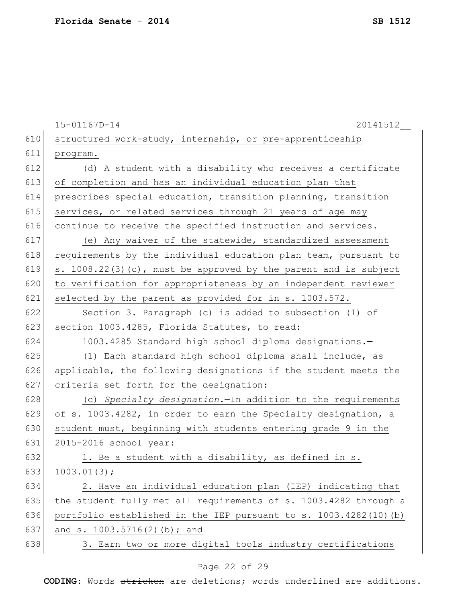|     | 15-01167D-14<br>20141512                                          |
|-----|-------------------------------------------------------------------|
| 610 | structured work-study, internship, or pre-apprenticeship          |
| 611 | program.                                                          |
| 612 | (d) A student with a disability who receives a certificate        |
| 613 | of completion and has an individual education plan that           |
| 614 | prescribes special education, transition planning, transition     |
| 615 | services, or related services through 21 years of age may         |
| 616 | continue to receive the specified instruction and services.       |
| 617 | (e) Any waiver of the statewide, standardized assessment          |
| 618 | requirements by the individual education plan team, pursuant to   |
| 619 | s. 1008.22(3)(c), must be approved by the parent and is subject   |
| 620 | to verification for appropriateness by an independent reviewer    |
| 621 | selected by the parent as provided for in s. 1003.572.            |
| 622 | Section 3. Paragraph (c) is added to subsection (1) of            |
| 623 | section 1003.4285, Florida Statutes, to read:                     |
| 624 | 1003.4285 Standard high school diploma designations.-             |
| 625 | (1) Each standard high school diploma shall include, as           |
| 626 | applicable, the following designations if the student meets the   |
| 627 | criteria set forth for the designation:                           |
| 628 | (c) Specialty designation. In addition to the requirements        |
| 629 | of s. 1003.4282, in order to earn the Specialty designation, a    |
| 630 | student must, beginning with students entering grade 9 in the     |
| 631 | 2015-2016 school year:                                            |
| 632 | 1. Be a student with a disability, as defined in s.               |
| 633 | $1003.01(3)$ ;                                                    |
| 634 | 2. Have an individual education plan (IEP) indicating that        |
| 635 | the student fully met all requirements of s. 1003.4282 through a  |
| 636 | portfolio established in the IEP pursuant to s. 1003.4282(10) (b) |
| 637 | and s. 1003.5716(2)(b); and                                       |
| 638 | 3. Earn two or more digital tools industry certifications         |

# Page 22 of 29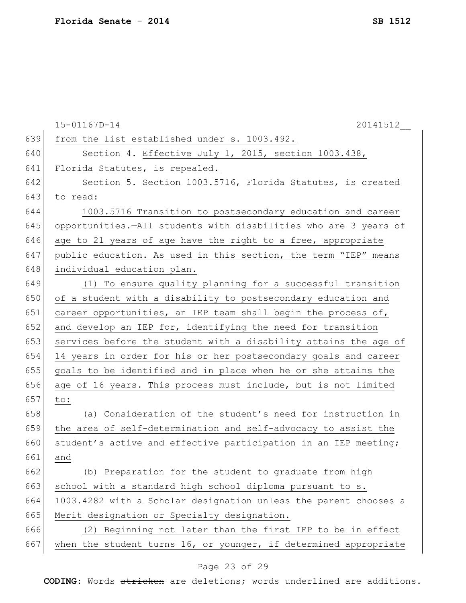|     | 15-01167D-14<br>20141512                                         |
|-----|------------------------------------------------------------------|
| 639 | from the list established under s. 1003.492.                     |
| 640 | Section 4. Effective July 1, 2015, section 1003.438,             |
| 641 | Florida Statutes, is repealed.                                   |
| 642 | Section 5. Section 1003.5716, Florida Statutes, is created       |
| 643 | to read:                                                         |
| 644 | 1003.5716 Transition to postsecondary education and career       |
| 645 | opportunities.-All students with disabilities who are 3 years of |
| 646 | age to 21 years of age have the right to a free, appropriate     |
| 647 | public education. As used in this section, the term "IEP" means  |
| 648 | individual education plan.                                       |
| 649 | (1) To ensure quality planning for a successful transition       |
| 650 | of a student with a disability to postsecondary education and    |
| 651 | career opportunities, an IEP team shall begin the process of,    |
| 652 | and develop an IEP for, identifying the need for transition      |
| 653 | services before the student with a disability attains the age of |
| 654 | 14 years in order for his or her postsecondary goals and career  |
| 655 | goals to be identified and in place when he or she attains the   |
| 656 | age of 16 years. This process must include, but is not limited   |
| 657 | to:                                                              |
| 658 | (a) Consideration of the student's need for instruction in       |
| 659 | the area of self-determination and self-advocacy to assist the   |
| 660 | student's active and effective participation in an IEP meeting;  |
| 661 | and                                                              |
| 662 | (b) Preparation for the student to graduate from high            |
| 663 | school with a standard high school diploma pursuant to s.        |
| 664 | 1003.4282 with a Scholar designation unless the parent chooses a |
| 665 | Merit designation or Specialty designation.                      |
| 666 | (2) Beginning not later than the first IEP to be in effect       |
| 667 | when the student turns 16, or younger, if determined appropriate |

# Page 23 of 29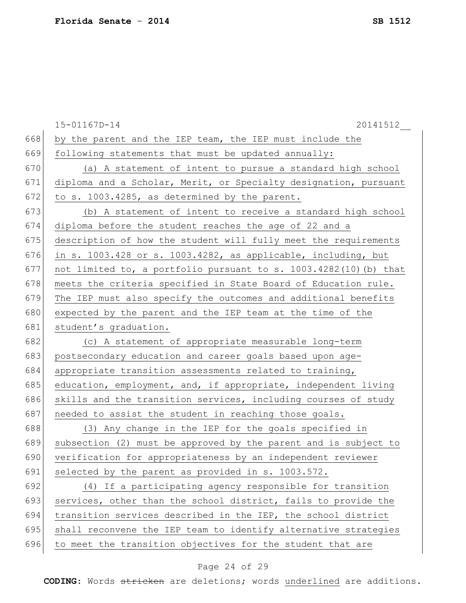|     | 15-01167D-14<br>20141512                                          |
|-----|-------------------------------------------------------------------|
| 668 | by the parent and the IEP team, the IEP must include the          |
| 669 | following statements that must be updated annually:               |
| 670 | (a) A statement of intent to pursue a standard high school        |
| 671 | diploma and a Scholar, Merit, or Specialty designation, pursuant  |
| 672 | to s. 1003.4285, as determined by the parent.                     |
| 673 | (b) A statement of intent to receive a standard high school       |
| 674 | diploma before the student reaches the age of 22 and a            |
| 675 | description of how the student will fully meet the requirements   |
| 676 | in s. 1003.428 or s. 1003.4282, as applicable, including, but     |
| 677 | not limited to, a portfolio pursuant to s. 1003.4282(10) (b) that |
| 678 | meets the criteria specified in State Board of Education rule.    |
| 679 | The IEP must also specify the outcomes and additional benefits    |
| 680 | expected by the parent and the IEP team at the time of the        |
| 681 | student's graduation.                                             |
| 682 | (c) A statement of appropriate measurable long-term               |
| 683 | postsecondary education and career goals based upon age-          |
| 684 | appropriate transition assessments related to training,           |
| 685 | education, employment, and, if appropriate, independent living    |
| 686 | skills and the transition services, including courses of study    |
| 687 | needed to assist the student in reaching those goals.             |
| 688 | (3) Any change in the IEP for the goals specified in              |
| 689 | subsection (2) must be approved by the parent and is subject to   |
| 690 | verification for appropriateness by an independent reviewer       |
| 691 | selected by the parent as provided in s. 1003.572.                |
| 692 | (4) If a participating agency responsible for transition          |
| 693 | services, other than the school district, fails to provide the    |
| 694 | transition services described in the IEP, the school district     |
| 695 | shall reconvene the IEP team to identify alternative strategies   |
| 696 | to meet the transition objectives for the student that are        |

# Page 24 of 29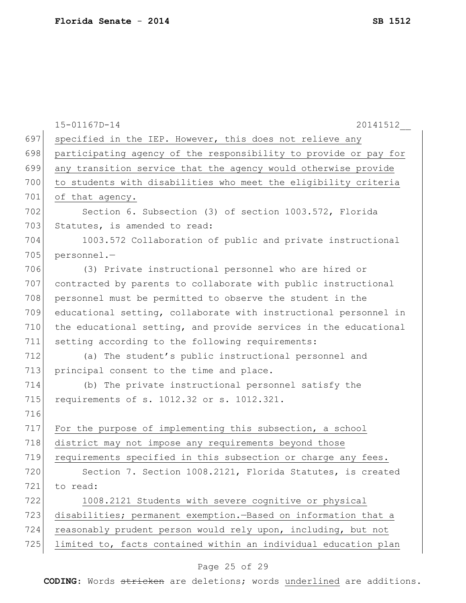| 697<br>specified in the IEP. However, this does not relieve any<br>698<br>participating agency of the responsibility to provide or pay for<br>699<br>any transition service that the agency would otherwise provide<br>700<br>to students with disabilities who meet the eligibility criteria<br>701<br>of that agency.<br>702<br>Section 6. Subsection (3) of section 1003.572, Florida<br>703<br>Statutes, is amended to read:<br>704<br>1003.572 Collaboration of public and private instructional<br>705<br>personnel.-<br>706<br>(3) Private instructional personnel who are hired or<br>707<br>contracted by parents to collaborate with public instructional<br>708<br>personnel must be permitted to observe the student in the<br>709<br>educational setting, collaborate with instructional personnel in<br>710<br>the educational setting, and provide services in the educational<br>711<br>setting according to the following requirements:<br>712<br>(a) The student's public instructional personnel and<br>713<br>principal consent to the time and place.<br>714<br>(b) The private instructional personnel satisfy the<br>715<br>requirements of s. 1012.32 or s. 1012.321.<br>716<br>For the purpose of implementing this subsection, a school<br>717<br>district may not impose any requirements beyond those<br>718<br>requirements specified in this subsection or charge any fees.<br>719<br>720<br>Section 7. Section 1008.2121, Florida Statutes, is created<br>721<br>to read:<br>722<br>1008.2121 Students with severe cognitive or physical<br>723<br>disabilities; permanent exemption.-Based on information that a<br>724<br>reasonably prudent person would rely upon, including, but not |     | 15-01167D-14<br>20141512                                        |
|--------------------------------------------------------------------------------------------------------------------------------------------------------------------------------------------------------------------------------------------------------------------------------------------------------------------------------------------------------------------------------------------------------------------------------------------------------------------------------------------------------------------------------------------------------------------------------------------------------------------------------------------------------------------------------------------------------------------------------------------------------------------------------------------------------------------------------------------------------------------------------------------------------------------------------------------------------------------------------------------------------------------------------------------------------------------------------------------------------------------------------------------------------------------------------------------------------------------------------------------------------------------------------------------------------------------------------------------------------------------------------------------------------------------------------------------------------------------------------------------------------------------------------------------------------------------------------------------------------------------------------------------------------------------------------------------------------------------------|-----|-----------------------------------------------------------------|
|                                                                                                                                                                                                                                                                                                                                                                                                                                                                                                                                                                                                                                                                                                                                                                                                                                                                                                                                                                                                                                                                                                                                                                                                                                                                                                                                                                                                                                                                                                                                                                                                                                                                                                                          |     |                                                                 |
|                                                                                                                                                                                                                                                                                                                                                                                                                                                                                                                                                                                                                                                                                                                                                                                                                                                                                                                                                                                                                                                                                                                                                                                                                                                                                                                                                                                                                                                                                                                                                                                                                                                                                                                          |     |                                                                 |
|                                                                                                                                                                                                                                                                                                                                                                                                                                                                                                                                                                                                                                                                                                                                                                                                                                                                                                                                                                                                                                                                                                                                                                                                                                                                                                                                                                                                                                                                                                                                                                                                                                                                                                                          |     |                                                                 |
|                                                                                                                                                                                                                                                                                                                                                                                                                                                                                                                                                                                                                                                                                                                                                                                                                                                                                                                                                                                                                                                                                                                                                                                                                                                                                                                                                                                                                                                                                                                                                                                                                                                                                                                          |     |                                                                 |
|                                                                                                                                                                                                                                                                                                                                                                                                                                                                                                                                                                                                                                                                                                                                                                                                                                                                                                                                                                                                                                                                                                                                                                                                                                                                                                                                                                                                                                                                                                                                                                                                                                                                                                                          |     |                                                                 |
|                                                                                                                                                                                                                                                                                                                                                                                                                                                                                                                                                                                                                                                                                                                                                                                                                                                                                                                                                                                                                                                                                                                                                                                                                                                                                                                                                                                                                                                                                                                                                                                                                                                                                                                          |     |                                                                 |
|                                                                                                                                                                                                                                                                                                                                                                                                                                                                                                                                                                                                                                                                                                                                                                                                                                                                                                                                                                                                                                                                                                                                                                                                                                                                                                                                                                                                                                                                                                                                                                                                                                                                                                                          |     |                                                                 |
|                                                                                                                                                                                                                                                                                                                                                                                                                                                                                                                                                                                                                                                                                                                                                                                                                                                                                                                                                                                                                                                                                                                                                                                                                                                                                                                                                                                                                                                                                                                                                                                                                                                                                                                          |     |                                                                 |
|                                                                                                                                                                                                                                                                                                                                                                                                                                                                                                                                                                                                                                                                                                                                                                                                                                                                                                                                                                                                                                                                                                                                                                                                                                                                                                                                                                                                                                                                                                                                                                                                                                                                                                                          |     |                                                                 |
|                                                                                                                                                                                                                                                                                                                                                                                                                                                                                                                                                                                                                                                                                                                                                                                                                                                                                                                                                                                                                                                                                                                                                                                                                                                                                                                                                                                                                                                                                                                                                                                                                                                                                                                          |     |                                                                 |
|                                                                                                                                                                                                                                                                                                                                                                                                                                                                                                                                                                                                                                                                                                                                                                                                                                                                                                                                                                                                                                                                                                                                                                                                                                                                                                                                                                                                                                                                                                                                                                                                                                                                                                                          |     |                                                                 |
|                                                                                                                                                                                                                                                                                                                                                                                                                                                                                                                                                                                                                                                                                                                                                                                                                                                                                                                                                                                                                                                                                                                                                                                                                                                                                                                                                                                                                                                                                                                                                                                                                                                                                                                          |     |                                                                 |
|                                                                                                                                                                                                                                                                                                                                                                                                                                                                                                                                                                                                                                                                                                                                                                                                                                                                                                                                                                                                                                                                                                                                                                                                                                                                                                                                                                                                                                                                                                                                                                                                                                                                                                                          |     |                                                                 |
|                                                                                                                                                                                                                                                                                                                                                                                                                                                                                                                                                                                                                                                                                                                                                                                                                                                                                                                                                                                                                                                                                                                                                                                                                                                                                                                                                                                                                                                                                                                                                                                                                                                                                                                          |     |                                                                 |
|                                                                                                                                                                                                                                                                                                                                                                                                                                                                                                                                                                                                                                                                                                                                                                                                                                                                                                                                                                                                                                                                                                                                                                                                                                                                                                                                                                                                                                                                                                                                                                                                                                                                                                                          |     |                                                                 |
|                                                                                                                                                                                                                                                                                                                                                                                                                                                                                                                                                                                                                                                                                                                                                                                                                                                                                                                                                                                                                                                                                                                                                                                                                                                                                                                                                                                                                                                                                                                                                                                                                                                                                                                          |     |                                                                 |
|                                                                                                                                                                                                                                                                                                                                                                                                                                                                                                                                                                                                                                                                                                                                                                                                                                                                                                                                                                                                                                                                                                                                                                                                                                                                                                                                                                                                                                                                                                                                                                                                                                                                                                                          |     |                                                                 |
|                                                                                                                                                                                                                                                                                                                                                                                                                                                                                                                                                                                                                                                                                                                                                                                                                                                                                                                                                                                                                                                                                                                                                                                                                                                                                                                                                                                                                                                                                                                                                                                                                                                                                                                          |     |                                                                 |
|                                                                                                                                                                                                                                                                                                                                                                                                                                                                                                                                                                                                                                                                                                                                                                                                                                                                                                                                                                                                                                                                                                                                                                                                                                                                                                                                                                                                                                                                                                                                                                                                                                                                                                                          |     |                                                                 |
|                                                                                                                                                                                                                                                                                                                                                                                                                                                                                                                                                                                                                                                                                                                                                                                                                                                                                                                                                                                                                                                                                                                                                                                                                                                                                                                                                                                                                                                                                                                                                                                                                                                                                                                          |     |                                                                 |
|                                                                                                                                                                                                                                                                                                                                                                                                                                                                                                                                                                                                                                                                                                                                                                                                                                                                                                                                                                                                                                                                                                                                                                                                                                                                                                                                                                                                                                                                                                                                                                                                                                                                                                                          |     |                                                                 |
|                                                                                                                                                                                                                                                                                                                                                                                                                                                                                                                                                                                                                                                                                                                                                                                                                                                                                                                                                                                                                                                                                                                                                                                                                                                                                                                                                                                                                                                                                                                                                                                                                                                                                                                          |     |                                                                 |
|                                                                                                                                                                                                                                                                                                                                                                                                                                                                                                                                                                                                                                                                                                                                                                                                                                                                                                                                                                                                                                                                                                                                                                                                                                                                                                                                                                                                                                                                                                                                                                                                                                                                                                                          |     |                                                                 |
|                                                                                                                                                                                                                                                                                                                                                                                                                                                                                                                                                                                                                                                                                                                                                                                                                                                                                                                                                                                                                                                                                                                                                                                                                                                                                                                                                                                                                                                                                                                                                                                                                                                                                                                          |     |                                                                 |
|                                                                                                                                                                                                                                                                                                                                                                                                                                                                                                                                                                                                                                                                                                                                                                                                                                                                                                                                                                                                                                                                                                                                                                                                                                                                                                                                                                                                                                                                                                                                                                                                                                                                                                                          |     |                                                                 |
|                                                                                                                                                                                                                                                                                                                                                                                                                                                                                                                                                                                                                                                                                                                                                                                                                                                                                                                                                                                                                                                                                                                                                                                                                                                                                                                                                                                                                                                                                                                                                                                                                                                                                                                          |     |                                                                 |
|                                                                                                                                                                                                                                                                                                                                                                                                                                                                                                                                                                                                                                                                                                                                                                                                                                                                                                                                                                                                                                                                                                                                                                                                                                                                                                                                                                                                                                                                                                                                                                                                                                                                                                                          |     |                                                                 |
|                                                                                                                                                                                                                                                                                                                                                                                                                                                                                                                                                                                                                                                                                                                                                                                                                                                                                                                                                                                                                                                                                                                                                                                                                                                                                                                                                                                                                                                                                                                                                                                                                                                                                                                          |     |                                                                 |
|                                                                                                                                                                                                                                                                                                                                                                                                                                                                                                                                                                                                                                                                                                                                                                                                                                                                                                                                                                                                                                                                                                                                                                                                                                                                                                                                                                                                                                                                                                                                                                                                                                                                                                                          | 725 | limited to, facts contained within an individual education plan |

# Page 25 of 29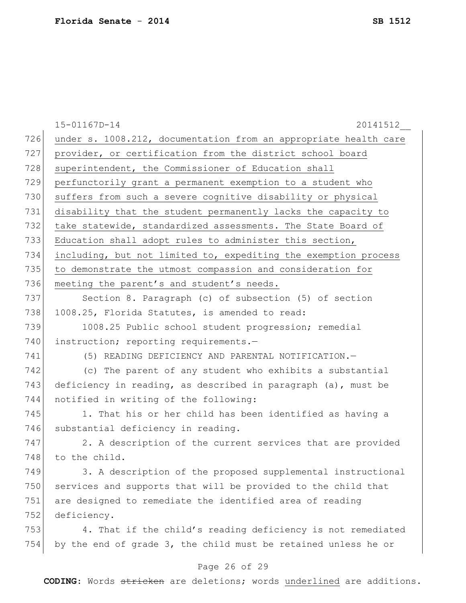|     | $15 - 01167D - 14$<br>20141512                                   |
|-----|------------------------------------------------------------------|
| 726 | under s. 1008.212, documentation from an appropriate health care |
| 727 | provider, or certification from the district school board        |
| 728 | superintendent, the Commissioner of Education shall              |
| 729 | perfunctorily grant a permanent exemption to a student who       |
| 730 | suffers from such a severe cognitive disability or physical      |
| 731 | disability that the student permanently lacks the capacity to    |
| 732 | take statewide, standardized assessments. The State Board of     |
| 733 | Education shall adopt rules to administer this section,          |
| 734 | including, but not limited to, expediting the exemption process  |
| 735 | to demonstrate the utmost compassion and consideration for       |
| 736 | meeting the parent's and student's needs.                        |
| 737 | Section 8. Paragraph (c) of subsection (5) of section            |
| 738 | 1008.25, Florida Statutes, is amended to read:                   |
| 739 | 1008.25 Public school student progression; remedial              |
| 740 | instruction; reporting requirements.-                            |
| 741 | (5) READING DEFICIENCY AND PARENTAL NOTIFICATION. -              |
| 742 | (c) The parent of any student who exhibits a substantial         |
| 743 | deficiency in reading, as described in paragraph (a), must be    |
| 744 | notified in writing of the following:                            |
| 745 | 1. That his or her child has been identified as having a         |
| 746 | substantial deficiency in reading.                               |
| 747 | 2. A description of the current services that are provided       |
| 748 | to the child.                                                    |
| 749 | 3. A description of the proposed supplemental instructional      |
| 750 | services and supports that will be provided to the child that    |
| 751 | are designed to remediate the identified area of reading         |
| 752 | deficiency.                                                      |
| 753 | 4. That if the child's reading deficiency is not remediated      |
| 754 | by the end of grade 3, the child must be retained unless he or   |
|     | Page 26 of 29                                                    |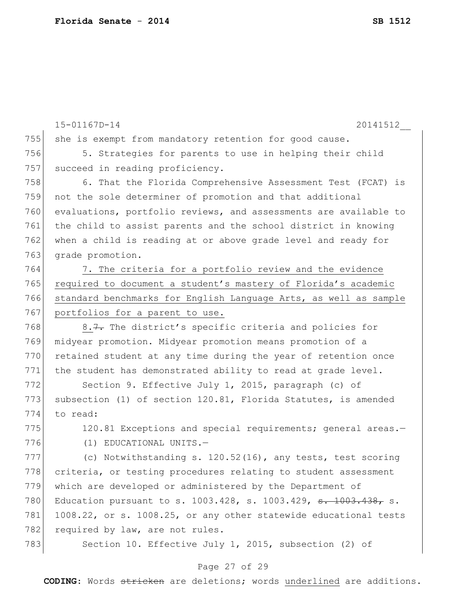15-01167D-14 20141512\_\_ 755 she is exempt from mandatory retention for good cause. 756 5. Strategies for parents to use in helping their child 757 succeed in reading proficiency. 758 6. That the Florida Comprehensive Assessment Test (FCAT) is 759 not the sole determiner of promotion and that additional 760 evaluations, portfolio reviews, and assessments are available to 761 the child to assist parents and the school district in knowing 762 when a child is reading at or above grade level and ready for 763 grade promotion. 764 7. The criteria for a portfolio review and the evidence 765 required to document a student's mastery of Florida's academic 766 standard benchmarks for English Language Arts, as well as sample 767 portfolios for a parent to use. 768 8.7. The district's specific criteria and policies for 769 midyear promotion. Midyear promotion means promotion of a 770 retained student at any time during the year of retention once 771 the student has demonstrated ability to read at grade level. 772 Section 9. Effective July 1, 2015, paragraph (c) of 773 subsection (1) of section 120.81, Florida Statutes, is amended 774 to read: 775 120.81 Exceptions and special requirements; general areas.-776 (1) EDUCATIONAL UNITS. 777 (c) Notwithstanding s. 120.52(16), any tests, test scoring 778 criteria, or testing procedures relating to student assessment 779 which are developed or administered by the Department of 780 Education pursuant to s. 1003.428, s. 1003.429, <del>s. 1003.438,</del> s. 781 1008.22, or s. 1008.25, or any other statewide educational tests 782 required by law, are not rules. 783 Section 10. Effective July 1, 2015, subsection (2) of

## Page 27 of 29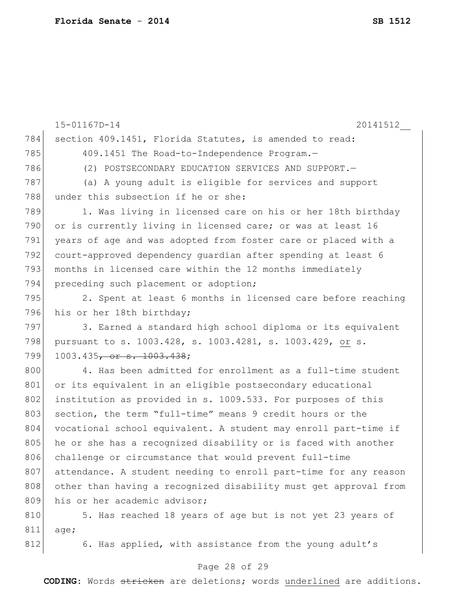|     | 15-01167D-14<br>20141512                                         |
|-----|------------------------------------------------------------------|
| 784 | section 409.1451, Florida Statutes, is amended to read:          |
| 785 | 409.1451 The Road-to-Independence Program.-                      |
| 786 | (2) POSTSECONDARY EDUCATION SERVICES AND SUPPORT. -              |
| 787 | (a) A young adult is eligible for services and support           |
| 788 | under this subsection if he or she:                              |
| 789 | 1. Was living in licensed care on his or her 18th birthday       |
| 790 | or is currently living in licensed care; or was at least 16      |
| 791 | years of age and was adopted from foster care or placed with a   |
| 792 | court-approved dependency quardian after spending at least 6     |
| 793 | months in licensed care within the 12 months immediately         |
| 794 | preceding such placement or adoption;                            |
| 795 | 2. Spent at least 6 months in licensed care before reaching      |
| 796 | his or her 18th birthday;                                        |
| 797 | 3. Earned a standard high school diploma or its equivalent       |
| 798 | pursuant to s. 1003.428, s. 1003.4281, s. 1003.429, or s.        |
| 799 | $1003.435$ , or s. $1003.438$ ;                                  |
| 800 | 4. Has been admitted for enrollment as a full-time student       |
| 801 | or its equivalent in an eligible postsecondary educational       |
| 802 | institution as provided in s. 1009.533. For purposes of this     |
| 803 | section, the term "full-time" means 9 credit hours or the        |
| 804 | vocational school equivalent. A student may enroll part-time if  |
| 805 | he or she has a recognized disability or is faced with another   |
| 806 | challenge or circumstance that would prevent full-time           |
| 807 | attendance. A student needing to enroll part-time for any reason |
| 808 | other than having a recognized disability must get approval from |
| 809 | his or her academic advisor;                                     |
| 810 | 5. Has reached 18 years of age but is not yet 23 years of        |
| 811 | age;                                                             |
| 812 | 6. Has applied, with assistance from the young adult's           |
|     |                                                                  |

# Page 28 of 29